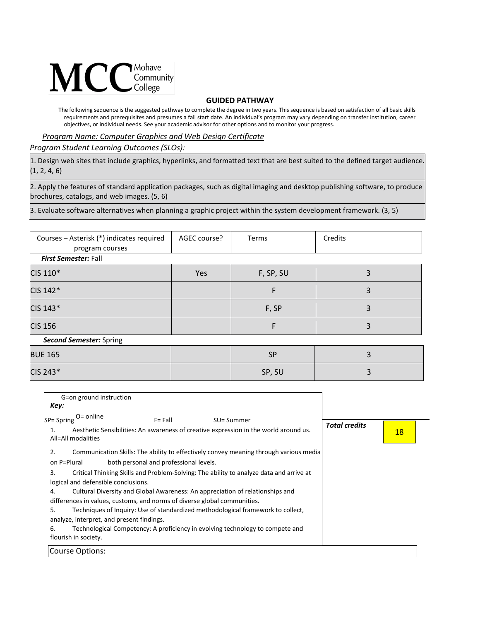

## **GUIDED PATHWAY**

The following sequence is the suggested pathway to complete the degree in two years. This sequence is based on satisfaction of all basic skills requirements and prerequisites and presumes a fall start date. An individual's program may vary depending on transfer institution, career objectives, or individual needs. See your academic advisor for other options and to monitor your progress.

*Program Name: Computer Graphics and Web Design Certificate*

*Program Student Learning Outcomes (SLOs):* 

1. Design web sites that include graphics, hyperlinks, and formatted text that are best suited to the defined target audience. (1, 2, 4, 6)

2. Apply the features of standard application packages, such as digital imaging and desktop publishing software, to produce brochures, catalogs, and web images. (5, 6)

3. Evaluate software alternatives when planning a graphic project within the system development framework. (3, 5)

| Courses - Asterisk (*) indicates required<br>program courses | AGEC course? | <b>Terms</b> | Credits |  |  |  |
|--------------------------------------------------------------|--------------|--------------|---------|--|--|--|
| <b>First Semester: Fall</b>                                  |              |              |         |  |  |  |
| CIS 110*                                                     | Yes          | F, SP, SU    | 3       |  |  |  |
| CIS 142*                                                     |              | F            | 3       |  |  |  |
| CIS 143*                                                     |              | F, SP        | 3       |  |  |  |
| <b>CIS 156</b>                                               |              | F            | 3       |  |  |  |
| <b>Second Semester: Spring</b>                               |              |              |         |  |  |  |
| <b>BUE 165</b>                                               |              | <b>SP</b>    | 3       |  |  |  |

 $\textsf{CIS 243*} \hspace{1.5cm} \textsf{SP, SU} \hspace{1.5cm} \textsf{SP, SU} \hspace{1.5cm} \textsf{SP, SU} \hspace{1.5cm} \textsf{SP, SU} \hspace{1.5cm} \textsf{SP, SU} \hspace{1.5cm} \textsf{SP, SU} \hspace{1.5cm} \textsf{SP, SU} \hspace{1.5cm} \textsf{SP, SU} \hspace{1.5cm} \textsf{SP, SU} \hspace{1.5cm} \textsf{SP, SU} \hspace{1.5cm} \textsf{SP, SU} \hspace{1.5cm} \textsf{SP, SU} \hspace{$ 

| G=on ground instruction                                                        |                                        |                                                                                                    |                      |           |
|--------------------------------------------------------------------------------|----------------------------------------|----------------------------------------------------------------------------------------------------|----------------------|-----------|
| Key:                                                                           |                                        |                                                                                                    |                      |           |
| O= online<br>SP= Spring<br>1.<br>All=All modalities                            | $F = Fall$                             | SU= Summer<br>Aesthetic Sensibilities: An awareness of creative expression in the world around us. | <b>Total credits</b> | <u>18</u> |
| 2.<br>on P=Plural                                                              | both personal and professional levels. | Communication Skills: The ability to effectively convey meaning through various media              |                      |           |
| 3.<br>logical and defensible conclusions.                                      |                                        | Critical Thinking Skills and Problem-Solving: The ability to analyze data and arrive at            |                      |           |
| 4.<br>differences in values, customs, and norms of diverse global communities. |                                        | Cultural Diversity and Global Awareness: An appreciation of relationships and                      |                      |           |
| 5.<br>analyze, interpret, and present findings.                                |                                        | Techniques of Inquiry: Use of standardized methodological framework to collect,                    |                      |           |
| 6.<br>flourish in society.                                                     |                                        | Technological Competency: A proficiency in evolving technology to compete and                      |                      |           |